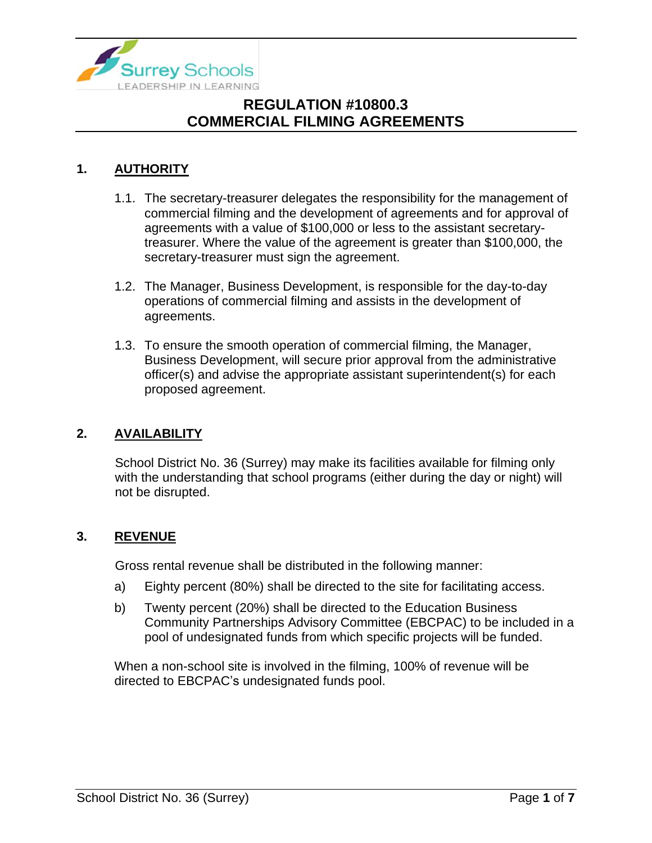

# **1. AUTHORITY**

- 1.1. The secretary-treasurer delegates the responsibility for the management of commercial filming and the development of agreements and for approval of agreements with a value of \$100,000 or less to the assistant secretarytreasurer. Where the value of the agreement is greater than \$100,000, the secretary-treasurer must sign the agreement.
- 1.2. The Manager, Business Development, is responsible for the day-to-day operations of commercial filming and assists in the development of agreements.
- 1.3. To ensure the smooth operation of commercial filming, the Manager, Business Development, will secure prior approval from the administrative officer(s) and advise the appropriate assistant superintendent(s) for each proposed agreement.

## **2. AVAILABILITY**

School District No. 36 (Surrey) may make its facilities available for filming only with the understanding that school programs (either during the day or night) will not be disrupted.

## **3. REVENUE**

Gross rental revenue shall be distributed in the following manner:

- a) Eighty percent (80%) shall be directed to the site for facilitating access.
- b) Twenty percent (20%) shall be directed to the Education Business Community Partnerships Advisory Committee (EBCPAC) to be included in a pool of undesignated funds from which specific projects will be funded.

When a non-school site is involved in the filming, 100% of revenue will be directed to EBCPAC's undesignated funds pool.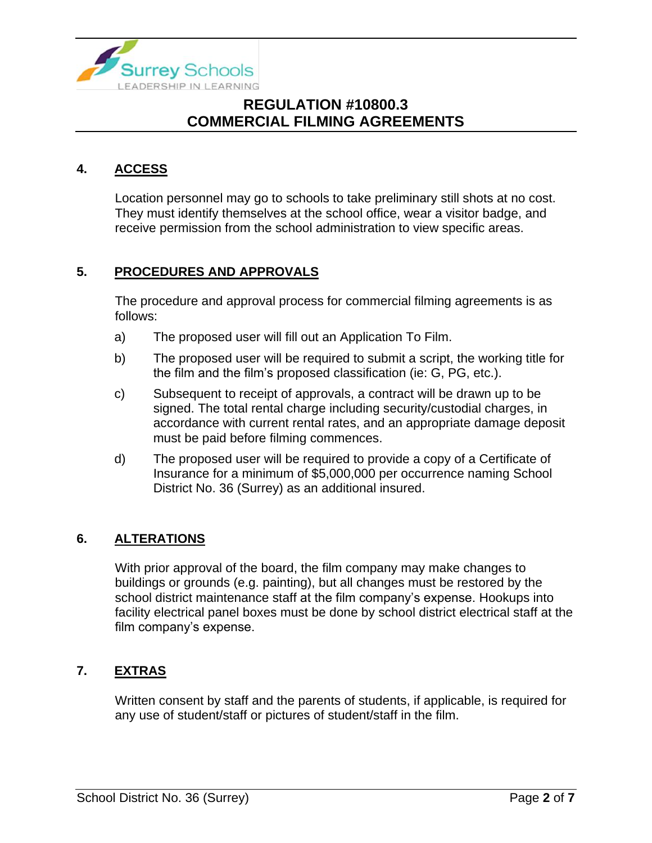

## **4. ACCESS**

Location personnel may go to schools to take preliminary still shots at no cost. They must identify themselves at the school office, wear a visitor badge, and receive permission from the school administration to view specific areas.

## **5. PROCEDURES AND APPROVALS**

The procedure and approval process for commercial filming agreements is as follows:

- a) The proposed user will fill out an Application To Film.
- b) The proposed user will be required to submit a script, the working title for the film and the film's proposed classification (ie: G, PG, etc.).
- c) Subsequent to receipt of approvals, a contract will be drawn up to be signed. The total rental charge including security/custodial charges, in accordance with current rental rates, and an appropriate damage deposit must be paid before filming commences.
- d) The proposed user will be required to provide a copy of a Certificate of Insurance for a minimum of \$5,000,000 per occurrence naming School District No. 36 (Surrey) as an additional insured.

### **6. ALTERATIONS**

With prior approval of the board, the film company may make changes to buildings or grounds (e.g. painting), but all changes must be restored by the school district maintenance staff at the film company's expense. Hookups into facility electrical panel boxes must be done by school district electrical staff at the film company's expense.

### **7. EXTRAS**

Written consent by staff and the parents of students, if applicable, is required for any use of student/staff or pictures of student/staff in the film.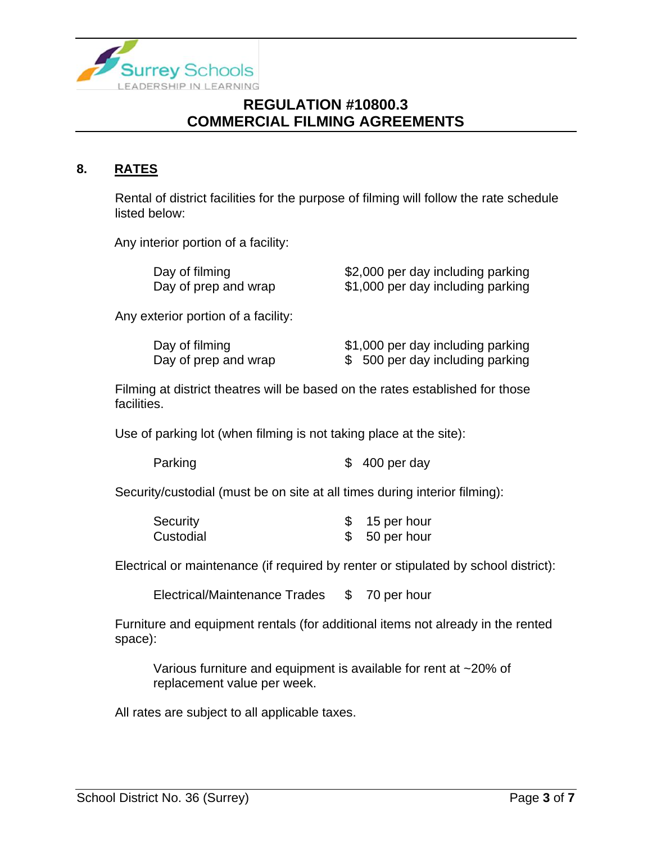

# **8. RATES**

Rental of district facilities for the purpose of filming will follow the rate schedule listed below:

Any interior portion of a facility:

| Day of filming       | \$2,000 per day including parking |
|----------------------|-----------------------------------|
| Day of prep and wrap | \$1,000 per day including parking |

Any exterior portion of a facility:

| Day of filming       | \$1,000 per day including parking |
|----------------------|-----------------------------------|
| Day of prep and wrap | \$ 500 per day including parking  |

Filming at district theatres will be based on the rates established for those facilities.

Use of parking lot (when filming is not taking place at the site):

Security/custodial (must be on site at all times during interior filming):

| Security  | 15 per hour   |
|-----------|---------------|
| Custodial | \$50 per hour |

Electrical or maintenance (if required by renter or stipulated by school district):

Electrical/Maintenance Trades \$70 per hour

Furniture and equipment rentals (for additional items not already in the rented space):

Various furniture and equipment is available for rent at ~20% of replacement value per week.

All rates are subject to all applicable taxes.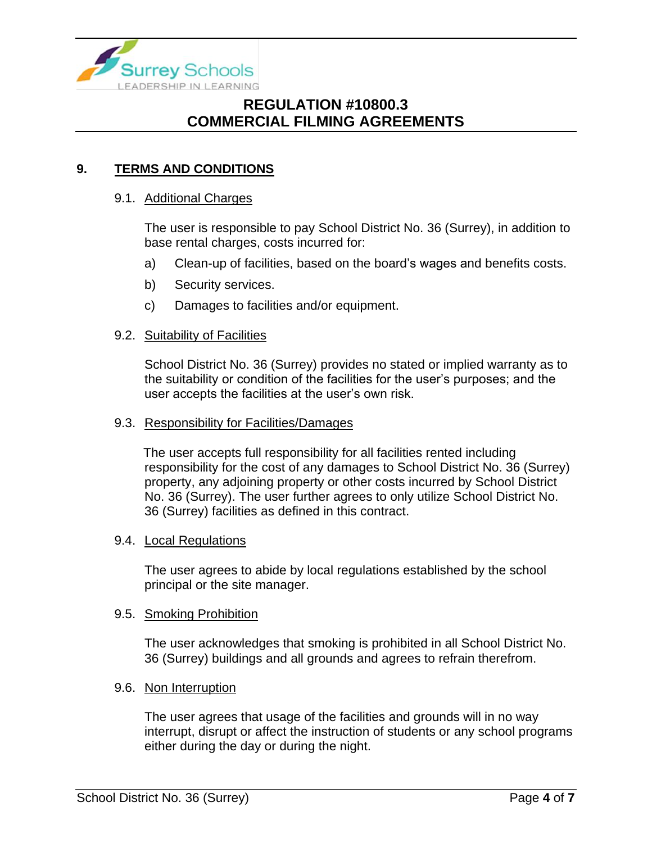

## **9. TERMS AND CONDITIONS**

### 9.1. Additional Charges

The user is responsible to pay School District No. 36 (Surrey), in addition to base rental charges, costs incurred for:

- a) Clean-up of facilities, based on the board's wages and benefits costs.
- b) Security services.
- c) Damages to facilities and/or equipment.

#### 9.2. Suitability of Facilities

School District No. 36 (Surrey) provides no stated or implied warranty as to the suitability or condition of the facilities for the user's purposes; and the user accepts the facilities at the user's own risk.

#### 9.3. Responsibility for Facilities/Damages

The user accepts full responsibility for all facilities rented including responsibility for the cost of any damages to School District No. 36 (Surrey) property, any adjoining property or other costs incurred by School District No. 36 (Surrey). The user further agrees to only utilize School District No. 36 (Surrey) facilities as defined in this contract.

#### 9.4. Local Regulations

The user agrees to abide by local regulations established by the school principal or the site manager.

#### 9.5. Smoking Prohibition

The user acknowledges that smoking is prohibited in all School District No. 36 (Surrey) buildings and all grounds and agrees to refrain therefrom.

#### 9.6. Non Interruption

The user agrees that usage of the facilities and grounds will in no way interrupt, disrupt or affect the instruction of students or any school programs either during the day or during the night.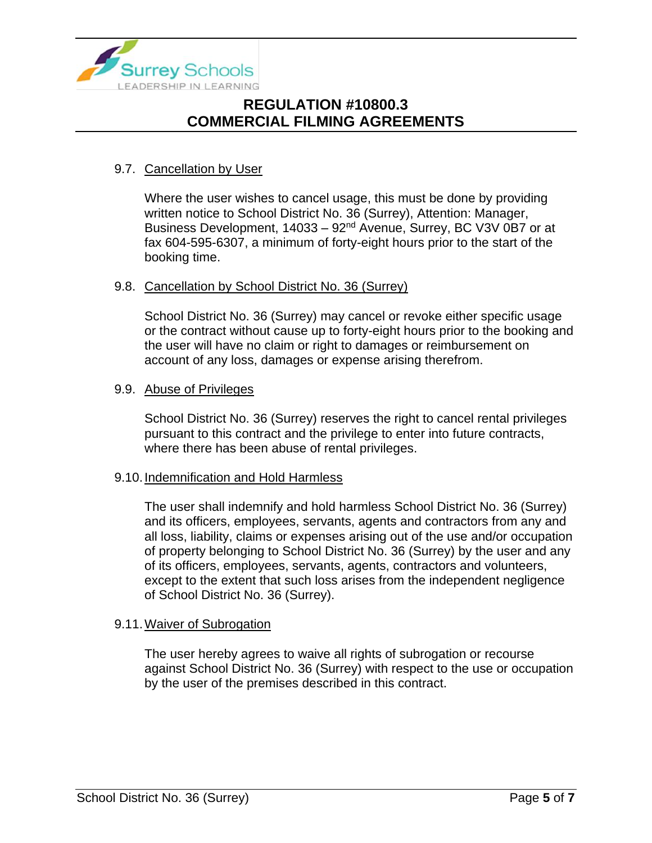

## 9.7. Cancellation by User

Where the user wishes to cancel usage, this must be done by providing written notice to School District No. 36 (Surrey), Attention: Manager, Business Development, 14033 – 92<sup>nd</sup> Avenue, Surrey, BC V3V 0B7 or at fax 604-595-6307, a minimum of forty-eight hours prior to the start of the booking time.

### 9.8. Cancellation by School District No. 36 (Surrey)

School District No. 36 (Surrey) may cancel or revoke either specific usage or the contract without cause up to forty-eight hours prior to the booking and the user will have no claim or right to damages or reimbursement on account of any loss, damages or expense arising therefrom.

## 9.9. Abuse of Privileges

School District No. 36 (Surrey) reserves the right to cancel rental privileges pursuant to this contract and the privilege to enter into future contracts, where there has been abuse of rental privileges.

### 9.10.Indemnification and Hold Harmless

The user shall indemnify and hold harmless School District No. 36 (Surrey) and its officers, employees, servants, agents and contractors from any and all loss, liability, claims or expenses arising out of the use and/or occupation of property belonging to School District No. 36 (Surrey) by the user and any of its officers, employees, servants, agents, contractors and volunteers, except to the extent that such loss arises from the independent negligence of School District No. 36 (Surrey).

### 9.11.Waiver of Subrogation

The user hereby agrees to waive all rights of subrogation or recourse against School District No. 36 (Surrey) with respect to the use or occupation by the user of the premises described in this contract.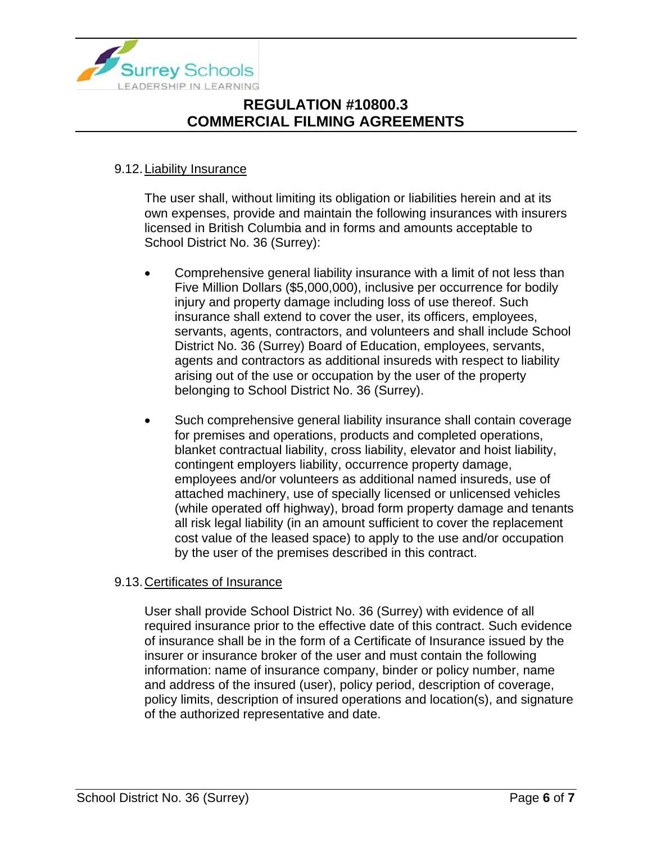

## 9.12.Liability Insurance

The user shall, without limiting its obligation or liabilities herein and at its own expenses, provide and maintain the following insurances with insurers licensed in British Columbia and in forms and amounts acceptable to School District No. 36 (Surrey):

- Comprehensive general liability insurance with a limit of not less than Five Million Dollars (\$5,000,000), inclusive per occurrence for bodily injury and property damage including loss of use thereof. Such insurance shall extend to cover the user, its officers, employees, servants, agents, contractors, and volunteers and shall include School District No. 36 (Surrey) Board of Education, employees, servants, agents and contractors as additional insureds with respect to liability arising out of the use or occupation by the user of the property belonging to School District No. 36 (Surrey).
- Such comprehensive general liability insurance shall contain coverage for premises and operations, products and completed operations, blanket contractual liability, cross liability, elevator and hoist liability, contingent employers liability, occurrence property damage, employees and/or volunteers as additional named insureds, use of attached machinery, use of specially licensed or unlicensed vehicles (while operated off highway), broad form property damage and tenants all risk legal liability (in an amount sufficient to cover the replacement cost value of the leased space) to apply to the use and/or occupation by the user of the premises described in this contract.

### 9.13.Certificates of Insurance

User shall provide School District No. 36 (Surrey) with evidence of all required insurance prior to the effective date of this contract. Such evidence of insurance shall be in the form of a Certificate of Insurance issued by the insurer or insurance broker of the user and must contain the following information: name of insurance company, binder or policy number, name and address of the insured (user), policy period, description of coverage, policy limits, description of insured operations and location(s), and signature of the authorized representative and date.